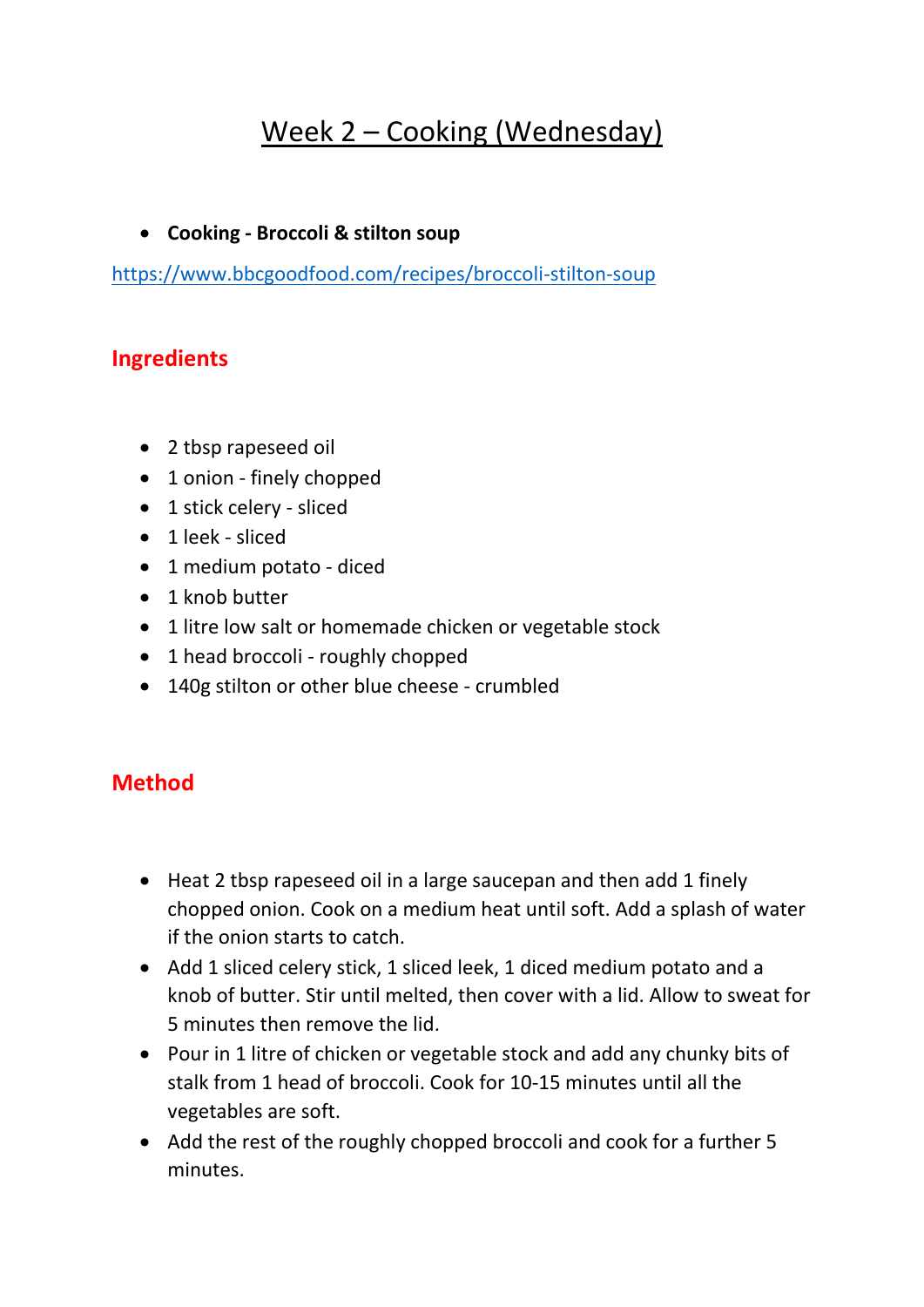## Week 2 – Cooking (Wednesday)

## **Cooking - Broccoli & stilton soup**

<https://www.bbcgoodfood.com/recipes/broccoli-stilton-soup>

## **Ingredients**

- 2 tbsp rapeseed oil
- 1 onion finely chopped
- 1 stick celery sliced
- 1 leek sliced
- 1 medium potato diced
- 1 knob butter
- 1 litre low salt or homemade chicken or vegetable stock
- 1 head broccoli roughly chopped
- 140g stilton or other blue cheese crumbled

## **Method**

- Heat 2 tbsp rapeseed oil in a large saucepan and then add 1 finely chopped onion. Cook on a medium heat until soft. Add a splash of water if the onion starts to catch.
- Add 1 sliced celery stick, 1 sliced leek, 1 diced medium potato and a knob of butter. Stir until melted, then cover with a lid. Allow to sweat for 5 minutes then remove the lid.
- Pour in 1 litre of chicken or vegetable stock and add any chunky bits of stalk from 1 head of broccoli. Cook for 10-15 minutes until all the vegetables are soft.
- Add the rest of the roughly chopped broccoli and cook for a further 5 minutes.